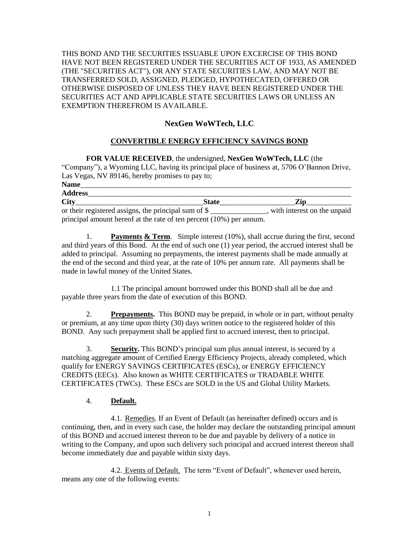THIS BOND AND THE SECURITIES ISSUABLE UPON EXCERCISE OF THIS BOND HAVE NOT BEEN REGISTERED UNDER THE SECURITIES ACT OF 1933, AS AMENDED (THE "SECURITIES ACT"), OR ANY STATE SECURITIES LAW, AND MAY NOT BE TRANSFERRED SOLD, ASSIGNED, PLEDGED, HYPOTHECATED, OFFERED OR OTHERWISE DISPOSED OF UNLESS THEY HAVE BEEN REGISTERED UNDER THE SECURITIES ACT AND APPLICABLE STATE SECURITIES LAWS OR UNLESS AN EXEMPTION THEREFROM IS AVAILABLE.

# **NexGen WoWTech, LLC**

### **CONVERTIBLE ENERGY EFFICIENCY SAVINGS BOND**

**FOR VALUE RECEIVED**, the undersigned, **NexGen WoWTech, LLC** (the "Company"), a Wyoming LLC, having its principal place of business at, 5706 O'Bannon Drive, Las Vegas, NV 89146, hereby promises to pay to;

| <b>Name</b>                                           |                                                                        |                             |  |  |
|-------------------------------------------------------|------------------------------------------------------------------------|-----------------------------|--|--|
| <b>Address</b>                                        |                                                                        |                             |  |  |
| <b>City</b>                                           | <b>State</b>                                                           | Zip                         |  |  |
| or their registered assigns, the principal sum of $\$ |                                                                        | with interest on the unpaid |  |  |
|                                                       | principal amount hereof at the rate of ten percent $(10\%)$ per annum. |                             |  |  |

1. **Payments & Term**. Simple interest (10%), shall accrue during the first, second and third years of this Bond. At the end of such one (1) year period, the accrued interest shall be added to principal. Assuming no prepayments, the interest payments shall be made annually at the end of the second and third year, at the rate of 10% per annum rate. All payments shall be made in lawful money of the United States.

1.1 The principal amount borrowed under this BOND shall all be due and payable three years from the date of execution of this BOND.

2. **Prepayments.** This BOND may be prepaid, in whole or in part, without penalty or premium, at any time upon thirty (30) days written notice to the registered holder of this BOND. Any such prepayment shall be applied first to accrued interest, then to principal.

3. **Security.** This BOND's principal sum plus annual interest, is secured by a matching aggregate amount of Certified Energy Efficiency Projects, already completed, which qualify for ENERGY SAVINGS CERTIFICATES (ESCs), or ENERGY EFFICIENCY CREDITS (EECs). Also known as WHITE CERTIFICATES or TRADABLE WHITE CERTIFICATES (TWCs). These ESCs are SOLD in the US and Global Utility Markets.

### 4. **Default.**

4.1. Remedies. If an Event of Default (as hereinafter defined) occurs and is continuing, then, and in every such case, the holder may declare the outstanding principal amount of this BOND and accrued interest thereon to be due and payable by delivery of a notice in writing to the Company, and upon such delivery such principal and accrued interest thereon shall become immediately due and payable within sixty days.

4.2. Events of Default. The term "Event of Default", whenever used herein, means any one of the following events: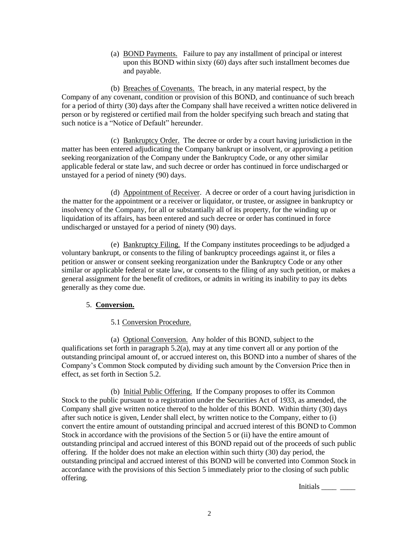(a) BOND Payments. Failure to pay any installment of principal or interest upon this BOND within sixty (60) days after such installment becomes due and payable.

(b) Breaches of Covenants. The breach, in any material respect, by the Company of any covenant, condition or provision of this BOND, and continuance of such breach for a period of thirty (30) days after the Company shall have received a written notice delivered in person or by registered or certified mail from the holder specifying such breach and stating that such notice is a "Notice of Default" hereunder.

(c) Bankruptcy Order. The decree or order by a court having jurisdiction in the matter has been entered adjudicating the Company bankrupt or insolvent, or approving a petition seeking reorganization of the Company under the Bankruptcy Code, or any other similar applicable federal or state law, and such decree or order has continued in force undischarged or unstayed for a period of ninety (90) days.

(d) Appointment of Receiver. A decree or order of a court having jurisdiction in the matter for the appointment or a receiver or liquidator, or trustee, or assignee in bankruptcy or insolvency of the Company, for all or substantially all of its property, for the winding up or liquidation of its affairs, has been entered and such decree or order has continued in force undischarged or unstayed for a period of ninety (90) days.

(e) Bankruptcy Filing. If the Company institutes proceedings to be adjudged a voluntary bankrupt, or consents to the filing of bankruptcy proceedings against it, or files a petition or answer or consent seeking reorganization under the Bankruptcy Code or any other similar or applicable federal or state law, or consents to the filing of any such petition, or makes a general assignment for the benefit of creditors, or admits in writing its inability to pay its debts generally as they come due.

## 5. **Conversion.**

## 5.1 Conversion Procedure.

(a) Optional Conversion. Any holder of this BOND, subject to the qualifications set forth in paragraph  $5.2(a)$ , may at any time convert all or any portion of the outstanding principal amount of, or accrued interest on, this BOND into a number of shares of the Company's Common Stock computed by dividing such amount by the Conversion Price then in effect, as set forth in Section 5.2.

(b) Initial Public Offering. If the Company proposes to offer its Common Stock to the public pursuant to a registration under the Securities Act of 1933, as amended, the Company shall give written notice thereof to the holder of this BOND. Within thirty (30) days after such notice is given, Lender shall elect, by written notice to the Company, either to (i) convert the entire amount of outstanding principal and accrued interest of this BOND to Common Stock in accordance with the provisions of the Section 5 or (ii) have the entire amount of outstanding principal and accrued interest of this BOND repaid out of the proceeds of such public offering. If the holder does not make an election within such thirty (30) day period, the outstanding principal and accrued interest of this BOND will be converted into Common Stock in accordance with the provisions of this Section 5 immediately prior to the closing of such public offering.

Initials \_\_\_\_ \_\_\_\_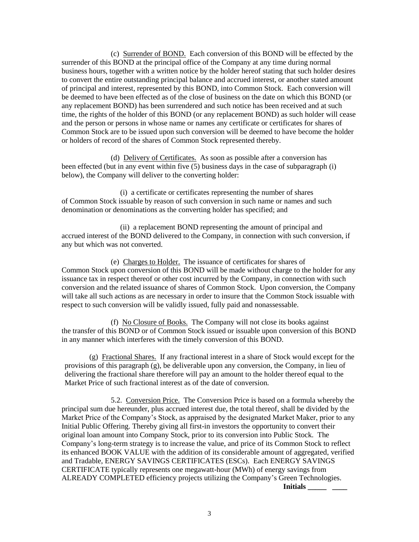(c) Surrender of BOND. Each conversion of this BOND will be effected by the surrender of this BOND at the principal office of the Company at any time during normal business hours, together with a written notice by the holder hereof stating that such holder desires to convert the entire outstanding principal balance and accrued interest, or another stated amount of principal and interest, represented by this BOND, into Common Stock. Each conversion will be deemed to have been effected as of the close of business on the date on which this BOND (or any replacement BOND) has been surrendered and such notice has been received and at such time, the rights of the holder of this BOND (or any replacement BOND) as such holder will cease and the person or persons in whose name or names any certificate or certificates for shares of Common Stock are to be issued upon such conversion will be deemed to have become the holder or holders of record of the shares of Common Stock represented thereby.

(d) Delivery of Certificates. As soon as possible after a conversion has been effected (but in any event within five (5) business days in the case of subparagraph (i) below), the Company will deliver to the converting holder:

 (i) a certificate or certificates representing the number of shares of Common Stock issuable by reason of such conversion in such name or names and such denomination or denominations as the converting holder has specified; and

 (ii) a replacement BOND representing the amount of principal and accrued interest of the BOND delivered to the Company, in connection with such conversion, if any but which was not converted.

(e) Charges to Holder. The issuance of certificates for shares of Common Stock upon conversion of this BOND will be made without charge to the holder for any issuance tax in respect thereof or other cost incurred by the Company, in connection with such conversion and the related issuance of shares of Common Stock. Upon conversion, the Company will take all such actions as are necessary in order to insure that the Common Stock issuable with respect to such conversion will be validly issued, fully paid and nonassessable.

(f) No Closure of Books. The Company will not close its books against the transfer of this BOND or of Common Stock issued or issuable upon conversion of this BOND in any manner which interferes with the timely conversion of this BOND.

(g) Fractional Shares. If any fractional interest in a share of Stock would except for the provisions of this paragraph (g), be deliverable upon any conversion, the Company, in lieu of delivering the fractional share therefore will pay an amount to the holder thereof equal to the Market Price of such fractional interest as of the date of conversion.

5.2. Conversion Price. The Conversion Price is based on a formula whereby the principal sum due hereunder, plus accrued interest due, the total thereof, shall be divided by the Market Price of the Company's Stock, as appraised by the designated Market Maker, prior to any Initial Public Offering. Thereby giving all first-in investors the opportunity to convert their original loan amount into Company Stock, prior to its conversion into Public Stock. The Company's long-term strategy is to increase the value, and price of its Common Stock to reflect its enhanced BOOK VALUE with the addition of its considerable amount of aggregated, verified and Tradable, ENERGY SAVINGS CERTIFICATES (ESCs). Each ENERGY SAVINGS CERTIFICATE typically represents one megawatt-hour (MWh) of energy savings from ALREADY COMPLETED efficiency projects utilizing the Company's Green Technologies.

**Initials** \_\_\_\_\_\_\_\_\_\_\_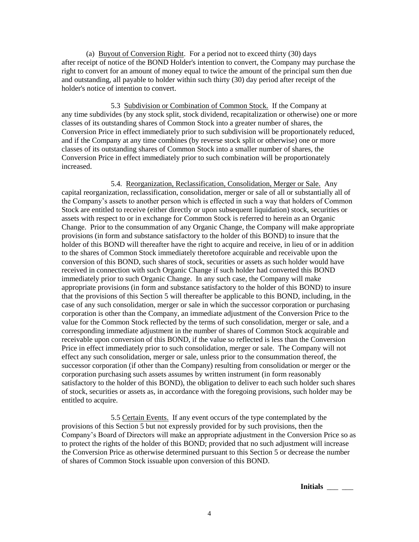(a) Buyout of Conversion Right. For a period not to exceed thirty (30) days after receipt of notice of the BOND Holder's intention to convert, the Company may purchase the right to convert for an amount of money equal to twice the amount of the principal sum then due and outstanding, all payable to holder within such thirty (30) day period after receipt of the holder's notice of intention to convert.

5.3 Subdivision or Combination of Common Stock. If the Company at any time subdivides (by any stock split, stock dividend, recapitalization or otherwise) one or more classes of its outstanding shares of Common Stock into a greater number of shares, the Conversion Price in effect immediately prior to such subdivision will be proportionately reduced, and if the Company at any time combines (by reverse stock split or otherwise) one or more classes of its outstanding shares of Common Stock into a smaller number of shares, the Conversion Price in effect immediately prior to such combination will be proportionately increased.

5.4. Reorganization, Reclassification, Consolidation, Merger or Sale. Any capital reorganization, reclassification, consolidation, merger or sale of all or substantially all of the Company's assets to another person which is effected in such a way that holders of Common Stock are entitled to receive (either directly or upon subsequent liquidation) stock, securities or assets with respect to or in exchange for Common Stock is referred to herein as an Organic Change. Prior to the consummation of any Organic Change, the Company will make appropriate provisions (in form and substance satisfactory to the holder of this BOND) to insure that the holder of this BOND will thereafter have the right to acquire and receive, in lieu of or in addition to the shares of Common Stock immediately theretofore acquirable and receivable upon the conversion of this BOND, such shares of stock, securities or assets as such holder would have received in connection with such Organic Change if such holder had converted this BOND immediately prior to such Organic Change. In any such case, the Company will make appropriate provisions (in form and substance satisfactory to the holder of this BOND) to insure that the provisions of this Section 5 will thereafter be applicable to this BOND, including, in the case of any such consolidation, merger or sale in which the successor corporation or purchasing corporation is other than the Company, an immediate adjustment of the Conversion Price to the value for the Common Stock reflected by the terms of such consolidation, merger or sale, and a corresponding immediate adjustment in the number of shares of Common Stock acquirable and receivable upon conversion of this BOND, if the value so reflected is less than the Conversion Price in effect immediately prior to such consolidation, merger or sale. The Company will not effect any such consolidation, merger or sale, unless prior to the consummation thereof, the successor corporation (if other than the Company) resulting from consolidation or merger or the corporation purchasing such assets assumes by written instrument (in form reasonably satisfactory to the holder of this BOND), the obligation to deliver to each such holder such shares of stock, securities or assets as, in accordance with the foregoing provisions, such holder may be entitled to acquire.

5.5 Certain Events. If any event occurs of the type contemplated by the provisions of this Section 5 but not expressly provided for by such provisions, then the Company's Board of Directors will make an appropriate adjustment in the Conversion Price so as to protect the rights of the holder of this BOND; provided that no such adjustment will increase the Conversion Price as otherwise determined pursuant to this Section 5 or decrease the number of shares of Common Stock issuable upon conversion of this BOND.

**Initials** \_\_\_ \_\_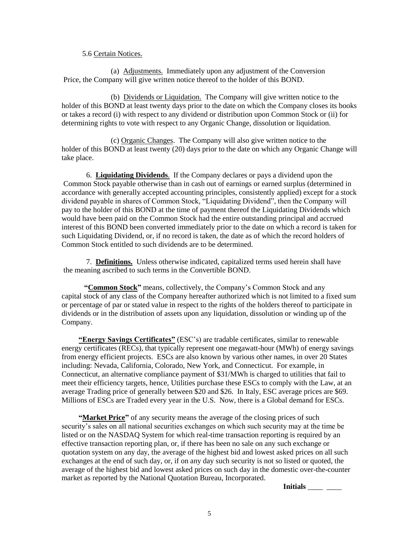#### 5.6 Certain Notices.

(a) Adjustments. Immediately upon any adjustment of the Conversion Price, the Company will give written notice thereof to the holder of this BOND.

(b) Dividends or Liquidation. The Company will give written notice to the holder of this BOND at least twenty days prior to the date on which the Company closes its books or takes a record (i) with respect to any dividend or distribution upon Common Stock or (ii) for determining rights to vote with respect to any Organic Change, dissolution or liquidation.

(c) Organic Changes. The Company will also give written notice to the holder of this BOND at least twenty (20) days prior to the date on which any Organic Change will take place.

6. **Liquidating Dividends**. If the Company declares or pays a dividend upon the Common Stock payable otherwise than in cash out of earnings or earned surplus (determined in accordance with generally accepted accounting principles, consistently applied) except for a stock dividend payable in shares of Common Stock, "Liquidating Dividend", then the Company will pay to the holder of this BOND at the time of payment thereof the Liquidating Dividends which would have been paid on the Common Stock had the entire outstanding principal and accrued interest of this BOND been converted immediately prior to the date on which a record is taken for such Liquidating Dividend, or, if no record is taken, the date as of which the record holders of Common Stock entitled to such dividends are to be determined.

7. **Definitions.** Unless otherwise indicated, capitalized terms used herein shall have the meaning ascribed to such terms in the Convertible BOND.

 **"Common Stock"** means, collectively, the Company's Common Stock and any capital stock of any class of the Company hereafter authorized which is not limited to a fixed sum or percentage of par or stated value in respect to the rights of the holders thereof to participate in dividends or in the distribution of assets upon any liquidation, dissolution or winding up of the Company.

 **"Energy Savings Certificates"** (ESC's) are tradable certificates, similar to renewable energy certificates (RECs), that typically represent one megawatt-hour (MWh) of energy savings from energy efficient projects. ESCs are also known by various other names, in over 20 States including: Nevada, California, Colorado, New York, and Connecticut. For example, in Connecticut, an alternative compliance payment of \$31/MWh is charged to utilities that fail to meet their efficiency targets, hence, Utilities purchase these ESCs to comply with the Law, at an average Trading price of generally between \$20 and \$26. In Italy, ESC average prices are \$69. Millions of ESCs are Traded every year in the U.S. Now, there is a Global demand for ESCs.

 **"Market Price"** of any security means the average of the closing prices of such security's sales on all national securities exchanges on which such security may at the time be listed or on the NASDAQ System for which real-time transaction reporting is required by an effective transaction reporting plan, or, if there has been no sale on any such exchange or quotation system on any day, the average of the highest bid and lowest asked prices on all such exchanges at the end of such day, or, if on any day such security is not so listed or quoted, the average of the highest bid and lowest asked prices on such day in the domestic over-the-counter market as reported by the National Quotation Bureau, Incorporated.

**Initials** \_\_\_\_\_ \_\_\_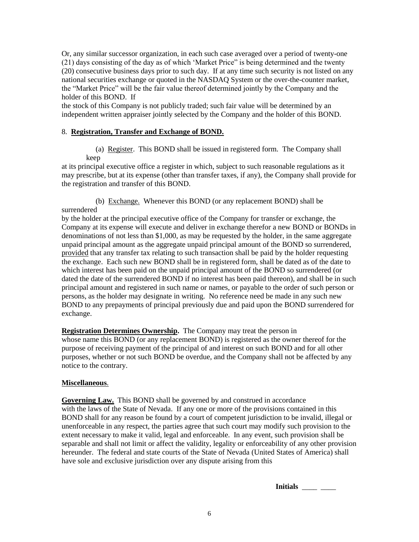Or, any similar successor organization, in each such case averaged over a period of twenty-one (21) days consisting of the day as of which 'Market Price" is being determined and the twenty (20) consecutive business days prior to such day. If at any time such security is not listed on any national securities exchange or quoted in the NASDAQ System or the over-the-counter market, the "Market Price" will be the fair value thereof determined jointly by the Company and the holder of this BOND. If

the stock of this Company is not publicly traded; such fair value will be determined by an independent written appraiser jointly selected by the Company and the holder of this BOND.

### 8. **Registration, Transfer and Exchange of BOND.**

 (a) Register. This BOND shall be issued in registered form. The Company shall keep

at its principal executive office a register in which, subject to such reasonable regulations as it may prescribe, but at its expense (other than transfer taxes, if any), the Company shall provide for the registration and transfer of this BOND.

 (b) Exchange. Whenever this BOND (or any replacement BOND) shall be surrendered

by the holder at the principal executive office of the Company for transfer or exchange, the Company at its expense will execute and deliver in exchange therefor a new BOND or BONDs in denominations of not less than \$1,000, as may be requested by the holder, in the same aggregate unpaid principal amount as the aggregate unpaid principal amount of the BOND so surrendered, provided that any transfer tax relating to such transaction shall be paid by the holder requesting the exchange. Each such new BOND shall be in registered form, shall be dated as of the date to which interest has been paid on the unpaid principal amount of the BOND so surrendered (or dated the date of the surrendered BOND if no interest has been paid thereon), and shall be in such principal amount and registered in such name or names, or payable to the order of such person or persons, as the holder may designate in writing. No reference need be made in any such new BOND to any prepayments of principal previously due and paid upon the BOND surrendered for exchange.

**Registration Determines Ownership.** The Company may treat the person in whose name this BOND (or any replacement BOND) is registered as the owner thereof for the purpose of receiving payment of the principal of and interest on such BOND and for all other purposes, whether or not such BOND be overdue, and the Company shall not be affected by any notice to the contrary.

#### **Miscellaneous**.

**Governing Law.** This BOND shall be governed by and construed in accordance with the laws of the State of Nevada. If any one or more of the provisions contained in this BOND shall for any reason be found by a court of competent jurisdiction to be invalid, illegal or unenforceable in any respect, the parties agree that such court may modify such provision to the extent necessary to make it valid, legal and enforceable. In any event, such provision shall be separable and shall not limit or affect the validity, legality or enforceability of any other provision hereunder. The federal and state courts of the State of Nevada (United States of America) shall have sole and exclusive jurisdiction over any dispute arising from this

**Initials** \_\_\_\_ \_\_\_